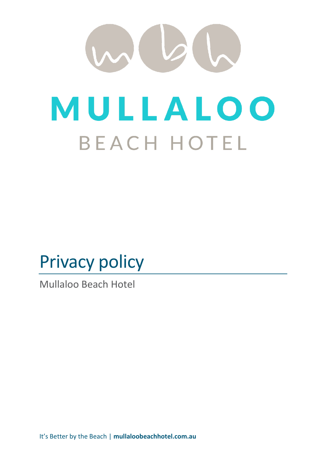# <span id="page-0-0"></span> $\omega$ MULLALOO **BEACH HOTEL**

## Privacy policy

Mullaloo Beach Hotel

It's Better by the Beach | **mullaloobeachhotel.com.au**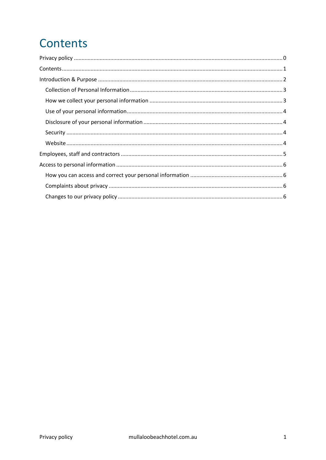## <span id="page-1-0"></span>**Contents**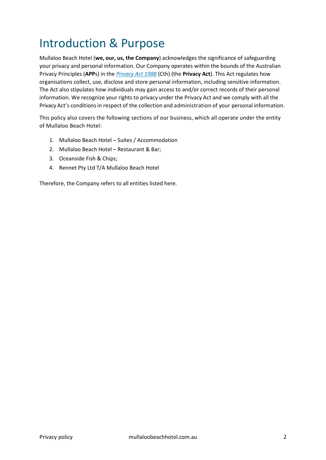## <span id="page-2-0"></span>Introduction & Purpose

Mullaloo Beach Hotel (**we, our, us, the Company**) acknowledges the significance of safeguarding your privacy and personal information. Our Company operates within the bounds of the Australian Privacy Principles (**APP**s) in the *[Privacy Act 1988](http://www.comlaw.gov.au/Details/C2014C00076)* (Cth) (the **Privacy Act**). This Act regulates how organisations collect, use, disclose and store personal information, including sensitive information. The Act also stipulates how individuals may gain access to and/or correct records of their personal information. We recognize your rights to privacy under the Privacy Act and we comply with all the Privacy Act's conditions in respect of the collection and administration of your personal information.

This policy also covers the following sections of our business, which all operate under the entity of Mullaloo Beach Hotel:

- 1. Mullaloo Beach Hotel Suites / Accommodation
- 2. Mullaloo Beach Hotel Restaurant & Bar;
- 3. Oceanside Fish & Chips;
- 4. Rennet Pty Ltd T/A Mullaloo Beach Hotel

Therefore, the Company refers to all entities listed here.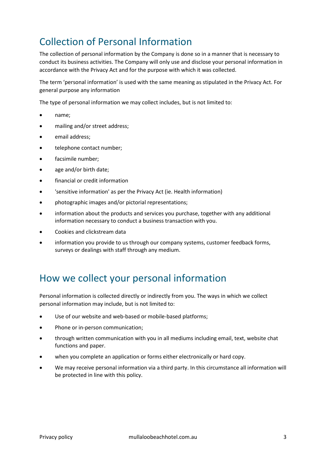#### <span id="page-3-0"></span>Collection of Personal Information

The collection of personal information by the Company is done so in a manner that is necessary to conduct its business activities. The Company will only use and disclose your personal information in accordance with the Privacy Act and for the purpose with which it was collected.

The term 'personal information' is used with the same meaning as stipulated in the Privacy Act. For general purpose any information

The type of personal information we may collect includes, but is not limited to:

- name;
- mailing and/or street address;
- email address;
- telephone contact number;
- facsimile number;
- age and/or birth date;
- financial or credit information
- 'sensitive information' as per the Privacy Act (ie. Health information)
- photographic images and/or pictorial representations;
- information about the products and services you purchase, together with any additional information necessary to conduct a business transaction with you.
- Cookies and clickstream data
- information you provide to us through our company systems, customer feedback forms, surveys or dealings with staff through any medium.

#### <span id="page-3-1"></span>How we collect your personal information

Personal information is collected directly or indirectly from you. The ways in which we collect personal information may include, but is not limited to:

- Use of our website and web-based or mobile-based platforms;
- Phone or in-person communication;
- through written communication with you in all mediums including email, text, website chat functions and paper.
- when you complete an application or forms either electronically or hard copy.
- We may receive personal information via a third party. In this circumstance all information will be protected in line with this policy.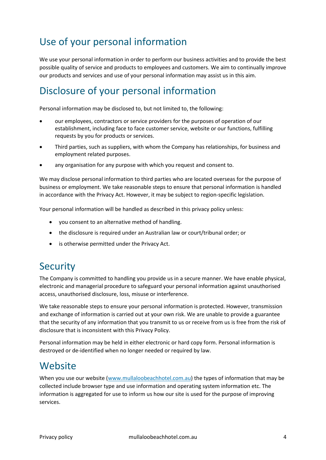#### <span id="page-4-0"></span>Use of your personal information

We use your personal information in order to perform our business activities and to provide the best possible quality of service and products to employees and customers. We aim to continually improve our products and services and use of your personal information may assist us in this aim.

#### <span id="page-4-1"></span>Disclosure of your personal information

Personal information may be disclosed to, but not limited to, the following:

- our employees, contractors or service providers for the purposes of operation of our establishment, including face to face customer service, website or our functions, fulfilling requests by you for products or services.
- Third parties, such as suppliers, with whom the Company has relationships, for business and employment related purposes.
- any organisation for any purpose with which you request and consent to.

We may disclose personal information to third parties who are located overseas for the purpose of business or employment. We take reasonable steps to ensure that personal information is handled in accordance with the Privacy Act. However, it may be subject to region-specific legislation.

Your personal information will be handled as described in this privacy policy unless:

- you consent to an alternative method of handling.
- the disclosure is required under an Australian law or court/tribunal order; or
- is otherwise permitted under the Privacy Act.

#### <span id="page-4-2"></span>**Security**

The Company is committed to handling you provide us in a secure manner. We have enable physical, electronic and managerial procedure to safeguard your personal information against unauthorised access, unauthorised disclosure, loss, misuse or interference.

We take reasonable steps to ensure your personal information is protected. However, transmission and exchange of information is carried out at your own risk. We are unable to provide a guarantee that the security of any information that you transmit to us or receive from us is free from the risk of disclosure that is inconsistent with this Privacy Policy.

Personal information may be held in either electronic or hard copy form. Personal information is destroyed or de-identified when no longer needed or required by law.

#### <span id="page-4-3"></span>**Website**

When you use our website [\(www.mullaloobeachhotel.com.au\)](http://www.mullaloobeachhotel.com.au/) the types of information that may be collected include browser type and use information and operating system information etc. The information is aggregated for use to inform us how our site is used for the purpose of improving services.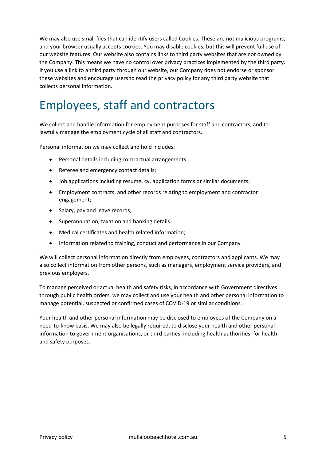We may also use small files that can identify users called Cookies. These are not malicious programs, and your browser usually accepts cookies. You may disable cookies, but this will prevent full use of our website features. Our website also contains links to third party websites that are not owned by the Company. This means we have no control over privacy practices implemented by the third party. If you use a link to a third party through our website, our Company does not endorse or sponsor these websites and encourage users to read the privacy policy for any third party website that collects personal information.

### <span id="page-5-0"></span>Employees, staff and contractors

We collect and handle information for employment purposes for staff and contractors, and to lawfully manage the employment cycle of all staff and contractors.

Personal information we may collect and hold includes:

- Personal details including contractual arrangements.
- Referee and emergency contact details;
- Job applications including resume, cv, application forms or similar documents;
- Employment contracts, and other records relating to employment and contractor engagement;
- Salary, pay and leave records;
- Superannuation, taxation and banking details
- Medical certificates and health related information;
- Information related to training, conduct and performance in our Company

We will collect personal information directly from employees, contractors and applicants. We may also collect information from other persons, such as managers, employment service providers, and previous employers.

To manage perceived or actual health and safety risks, in accordance with Government directives through public health orders, we may collect and use your health and other personal information to manage potential, suspected or confirmed cases of COVID-19 or similar conditions.

Your health and other personal information may be disclosed to employees of the Company on a need-to-know basis. We may also be legally required, to disclose your health and other personal information to government organisations, or third parties, including health authorities, for health and safety purposes.